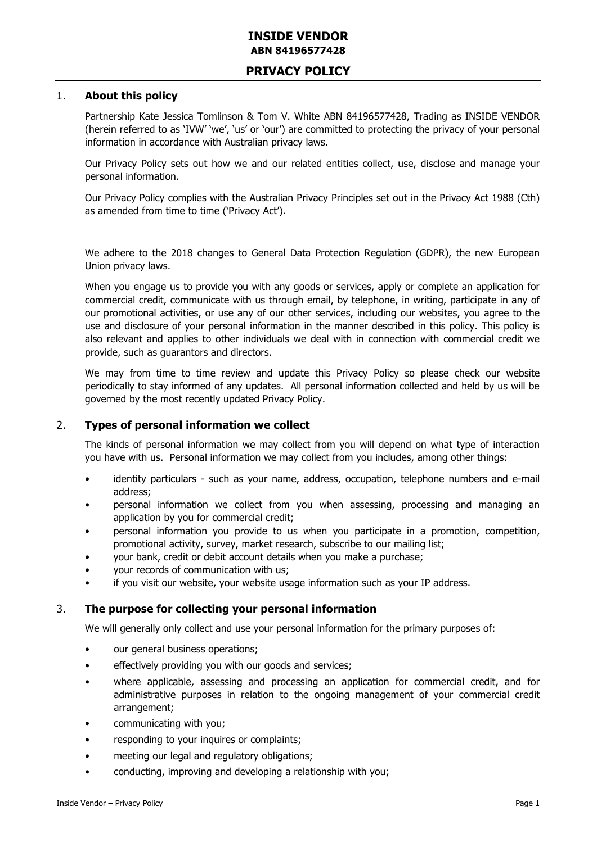## **INSIDE VENDOR ABN 84196577428**

# **PRIVACY POLICY**

#### 1. **About this policy**

Partnership Kate Jessica Tomlinson & Tom V. White ABN 84196577428, Trading as INSIDE VENDOR (herein referred to as 'IVW' 'we', 'us' or 'our') are committed to protecting the privacy of your personal information in accordance with Australian privacy laws.

Our Privacy Policy sets out how we and our related entities collect, use, disclose and manage your personal information.

Our Privacy Policy complies with the Australian Privacy Principles set out in the Privacy Act 1988 (Cth) as amended from time to time ('Privacy Act').

We adhere to the 2018 changes to General Data Protection Regulation (GDPR), the new European Union privacy laws.

When you engage us to provide you with any goods or services, apply or complete an application for commercial credit, communicate with us through email, by telephone, in writing, participate in any of our promotional activities, or use any of our other services, including our websites, you agree to the use and disclosure of your personal information in the manner described in this policy. This policy is also relevant and applies to other individuals we deal with in connection with commercial credit we provide, such as guarantors and directors.

We may from time to time review and update this Privacy Policy so please check our website periodically to stay informed of any updates. All personal information collected and held by us will be governed by the most recently updated Privacy Policy.

#### 2. **Types of personal information we collect**

The kinds of personal information we may collect from you will depend on what type of interaction you have with us. Personal information we may collect from you includes, among other things:

- identity particulars such as your name, address, occupation, telephone numbers and e-mail address;
- personal information we collect from you when assessing, processing and managing an application by you for commercial credit;
- personal information you provide to us when you participate in a promotion, competition, promotional activity, survey, market research, subscribe to our mailing list;
- your bank, credit or debit account details when you make a purchase;
- your records of communication with us;
- if you visit our website, your website usage information such as your IP address.

#### 3. **The purpose for collecting your personal information**

We will generally only collect and use your personal information for the primary purposes of:

- our general business operations;
- effectively providing you with our goods and services;
- where applicable, assessing and processing an application for commercial credit, and for administrative purposes in relation to the ongoing management of your commercial credit arrangement;
- communicating with you;
- responding to your inquires or complaints;
- meeting our legal and regulatory obligations;
- conducting, improving and developing a relationship with you;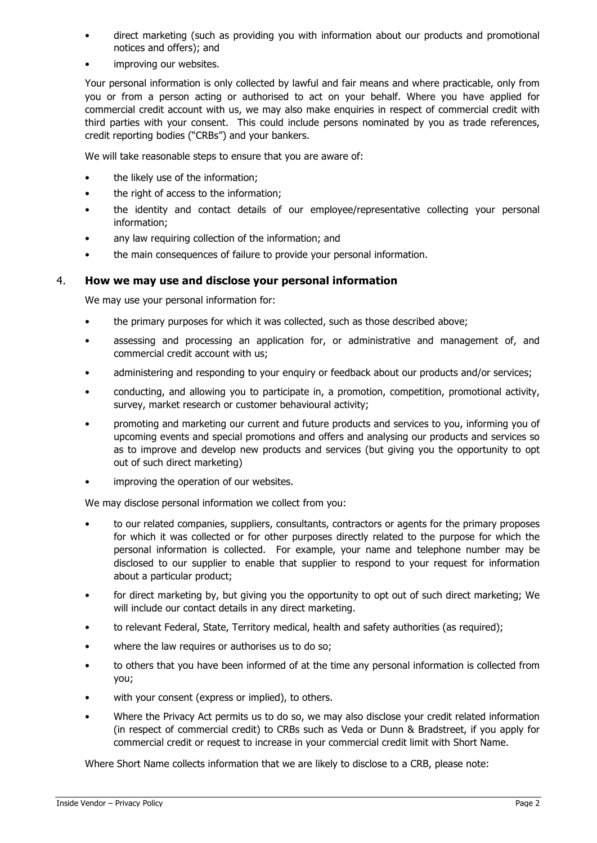- direct marketing (such as providing you with information about our products and promotional notices and offers); and
- improving our websites.

Your personal information is only collected by lawful and fair means and where practicable, only from you or from a person acting or authorised to act on your behalf. Where you have applied for commercial credit account with us, we may also make enquiries in respect of commercial credit with third parties with your consent. This could include persons nominated by you as trade references, credit reporting bodies ("CRBs") and your bankers.

We will take reasonable steps to ensure that you are aware of:

- the likely use of the information;
- the right of access to the information;
- the identity and contact details of our employee/representative collecting your personal information;
- any law requiring collection of the information; and
- the main consequences of failure to provide your personal information.

### 4. **How we may use and disclose your personal information**

We may use your personal information for:

- the primary purposes for which it was collected, such as those described above;
- assessing and processing an application for, or administrative and management of, and commercial credit account with us;
- administering and responding to your enquiry or feedback about our products and/or services;
- conducting, and allowing you to participate in, a promotion, competition, promotional activity, survey, market research or customer behavioural activity;
- promoting and marketing our current and future products and services to you, informing you of upcoming events and special promotions and offers and analysing our products and services so as to improve and develop new products and services (but giving you the opportunity to opt out of such direct marketing)
- improving the operation of our websites.

We may disclose personal information we collect from you:

- to our related companies, suppliers, consultants, contractors or agents for the primary proposes for which it was collected or for other purposes directly related to the purpose for which the personal information is collected. For example, your name and telephone number may be disclosed to our supplier to enable that supplier to respond to your request for information about a particular product;
- for direct marketing by, but giving you the opportunity to opt out of such direct marketing; We will include our contact details in any direct marketing.
- to relevant Federal, State, Territory medical, health and safety authorities (as required);
- where the law requires or authorises us to do so;
- to others that you have been informed of at the time any personal information is collected from you;
- with your consent (express or implied), to others.
- Where the Privacy Act permits us to do so, we may also disclose your credit related information (in respect of commercial credit) to CRBs such as Veda or Dunn & Bradstreet, if you apply for commercial credit or request to increase in your commercial credit limit with Short Name.

Where Short Name collects information that we are likely to disclose to a CRB, please note: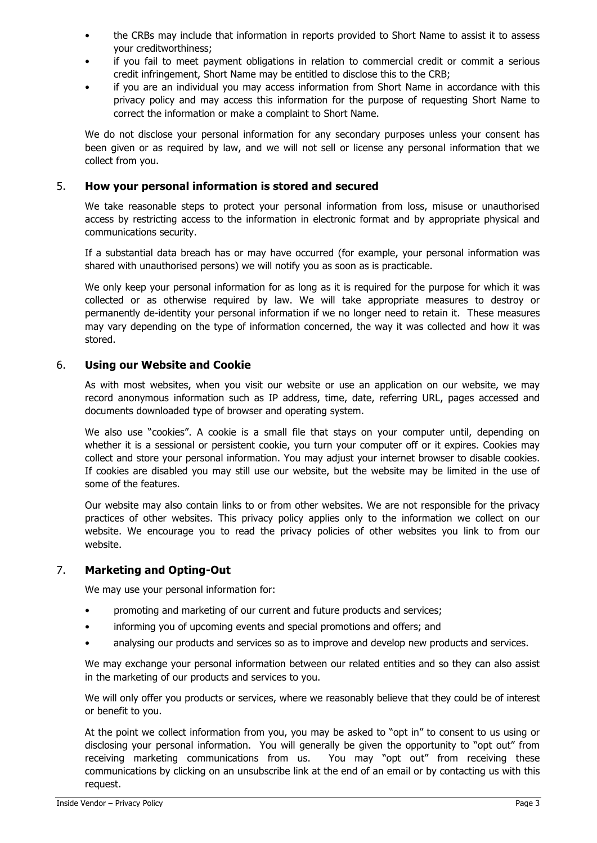- the CRBs may include that information in reports provided to Short Name to assist it to assess your creditworthiness;
- if you fail to meet payment obligations in relation to commercial credit or commit a serious credit infringement, Short Name may be entitled to disclose this to the CRB;
- if you are an individual you may access information from Short Name in accordance with this privacy policy and may access this information for the purpose of requesting Short Name to correct the information or make a complaint to Short Name.

We do not disclose your personal information for any secondary purposes unless your consent has been given or as required by law, and we will not sell or license any personal information that we collect from you.

## 5. **How your personal information is stored and secured**

We take reasonable steps to protect your personal information from loss, misuse or unauthorised access by restricting access to the information in electronic format and by appropriate physical and communications security.

If a substantial data breach has or may have occurred (for example, your personal information was shared with unauthorised persons) we will notify you as soon as is practicable.

We only keep your personal information for as long as it is required for the purpose for which it was collected or as otherwise required by law. We will take appropriate measures to destroy or permanently de-identity your personal information if we no longer need to retain it. These measures may vary depending on the type of information concerned, the way it was collected and how it was stored.

### 6. **Using our Website and Cookie**

As with most websites, when you visit our website or use an application on our website, we may record anonymous information such as IP address, time, date, referring URL, pages accessed and documents downloaded type of browser and operating system.

We also use "cookies". A cookie is a small file that stays on your computer until, depending on whether it is a sessional or persistent cookie, you turn your computer off or it expires. Cookies may collect and store your personal information. You may adjust your internet browser to disable cookies. If cookies are disabled you may still use our website, but the website may be limited in the use of some of the features.

Our website may also contain links to or from other websites. We are not responsible for the privacy practices of other websites. This privacy policy applies only to the information we collect on our website. We encourage you to read the privacy policies of other websites you link to from our website.

#### 7. **Marketing and Opting-Out**

We may use your personal information for:

- promoting and marketing of our current and future products and services;
- informing you of upcoming events and special promotions and offers; and
- analysing our products and services so as to improve and develop new products and services.

We may exchange your personal information between our related entities and so they can also assist in the marketing of our products and services to you.

We will only offer you products or services, where we reasonably believe that they could be of interest or benefit to you.

At the point we collect information from you, you may be asked to "opt in" to consent to us using or disclosing your personal information. You will generally be given the opportunity to "opt out" from receiving marketing communications from us. You may "opt out" from receiving these communications by clicking on an unsubscribe link at the end of an email or by contacting us with this request.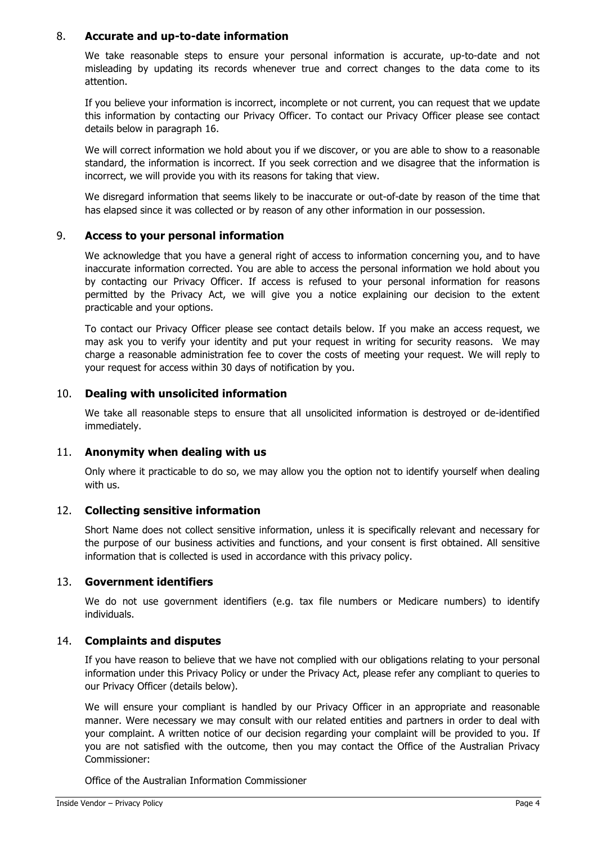## 8. **Accurate and up-to-date information**

We take reasonable steps to ensure your personal information is accurate, up-to-date and not misleading by updating its records whenever true and correct changes to the data come to its attention.

If you believe your information is incorrect, incomplete or not current, you can request that we update this information by contacting our Privacy Officer. To contact our Privacy Officer please see contact details below in paragraph 16.

We will correct information we hold about you if we discover, or you are able to show to a reasonable standard, the information is incorrect. If you seek correction and we disagree that the information is incorrect, we will provide you with its reasons for taking that view.

We disregard information that seems likely to be inaccurate or out-of-date by reason of the time that has elapsed since it was collected or by reason of any other information in our possession.

### 9. **Access to your personal information**

We acknowledge that you have a general right of access to information concerning you, and to have inaccurate information corrected. You are able to access the personal information we hold about you by contacting our Privacy Officer. If access is refused to your personal information for reasons permitted by the Privacy Act, we will give you a notice explaining our decision to the extent practicable and your options.

To contact our Privacy Officer please see contact details below. If you make an access request, we may ask you to verify your identity and put your request in writing for security reasons. We may charge a reasonable administration fee to cover the costs of meeting your request. We will reply to your request for access within 30 days of notification by you.

## 10. **Dealing with unsolicited information**

We take all reasonable steps to ensure that all unsolicited information is destroyed or de-identified immediately.

## 11. **Anonymity when dealing with us**

Only where it practicable to do so, we may allow you the option not to identify yourself when dealing with us.

#### 12. **Collecting sensitive information**

Short Name does not collect sensitive information, unless it is specifically relevant and necessary for the purpose of our business activities and functions, and your consent is first obtained. All sensitive information that is collected is used in accordance with this privacy policy.

#### 13. **Government identifiers**

We do not use government identifiers (e.g. tax file numbers or Medicare numbers) to identify individuals.

### 14. **Complaints and disputes**

If you have reason to believe that we have not complied with our obligations relating to your personal information under this Privacy Policy or under the Privacy Act, please refer any compliant to queries to our Privacy Officer (details below).

We will ensure your compliant is handled by our Privacy Officer in an appropriate and reasonable manner. Were necessary we may consult with our related entities and partners in order to deal with your complaint. A written notice of our decision regarding your complaint will be provided to you. If you are not satisfied with the outcome, then you may contact the Office of the Australian Privacy Commissioner:

Office of the Australian Information Commissioner